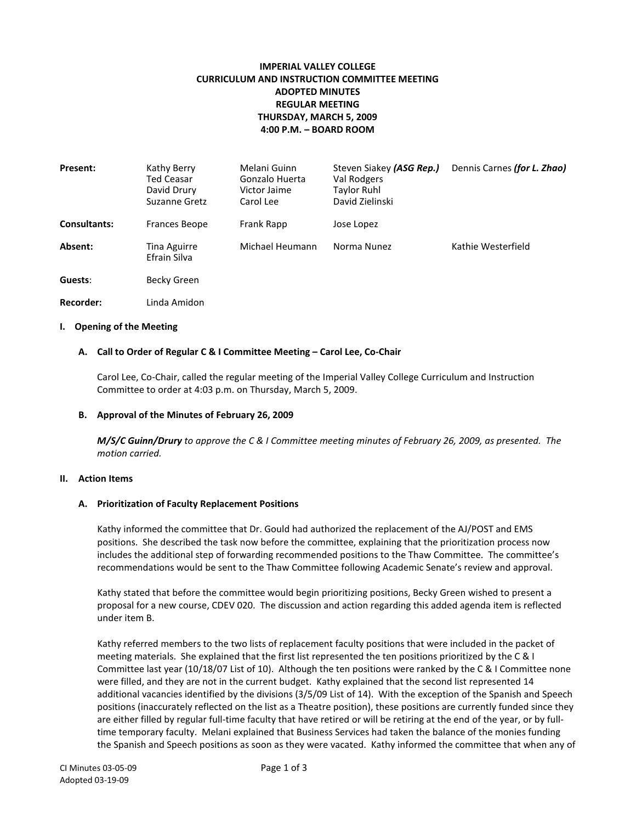# **IMPERIAL VALLEY COLLEGE CURRICULUM AND INSTRUCTION COMMITTEE MEETING ADOPTED MINUTES REGULAR MEETING THURSDAY, MARCH 5, 2009 4:00 P.M. – BOARD ROOM**

| Present:            | Kathy Berry<br>Ted Ceasar<br>David Drury<br>Suzanne Gretz | Melani Guinn<br>Gonzalo Huerta<br>Victor Jaime<br>Carol Lee | Steven Siakey (ASG Rep.)<br>Val Rodgers<br><b>Taylor Ruhl</b><br>David Zielinski | Dennis Carnes (for L. Zhao) |
|---------------------|-----------------------------------------------------------|-------------------------------------------------------------|----------------------------------------------------------------------------------|-----------------------------|
| <b>Consultants:</b> | Frances Beope                                             | Frank Rapp                                                  | Jose Lopez                                                                       |                             |
| Absent:             | Tina Aguirre<br>Efrain Silva                              | Michael Heumann                                             | Norma Nunez                                                                      | Kathie Westerfield          |
| Guests:             | Becky Green                                               |                                                             |                                                                                  |                             |
| Recorder:           | Linda Amidon                                              |                                                             |                                                                                  |                             |

## **I. Opening of the Meeting**

## **A. Call to Order of Regular C & I Committee Meeting – Carol Lee, Co-Chair**

Carol Lee, Co-Chair, called the regular meeting of the Imperial Valley College Curriculum and Instruction Committee to order at 4:03 p.m. on Thursday, March 5, 2009.

### **B. Approval of the Minutes of February 26, 2009**

*M/S/C Guinn/Drury to approve the C & I Committee meeting minutes of February 26, 2009, as presented. The motion carried.*

#### **II. Action Items**

#### **A. Prioritization of Faculty Replacement Positions**

Kathy informed the committee that Dr. Gould had authorized the replacement of the AJ/POST and EMS positions. She described the task now before the committee, explaining that the prioritization process now includes the additional step of forwarding recommended positions to the Thaw Committee. The committee's recommendations would be sent to the Thaw Committee following Academic Senate's review and approval.

Kathy stated that before the committee would begin prioritizing positions, Becky Green wished to present a proposal for a new course, CDEV 020. The discussion and action regarding this added agenda item is reflected under item B.

Kathy referred members to the two lists of replacement faculty positions that were included in the packet of meeting materials. She explained that the first list represented the ten positions prioritized by the C & I Committee last year (10/18/07 List of 10). Although the ten positions were ranked by the C & I Committee none were filled, and they are not in the current budget. Kathy explained that the second list represented 14 additional vacancies identified by the divisions (3/5/09 List of 14). With the exception of the Spanish and Speech positions (inaccurately reflected on the list as a Theatre position), these positions are currently funded since they are either filled by regular full-time faculty that have retired or will be retiring at the end of the year, or by fulltime temporary faculty. Melani explained that Business Services had taken the balance of the monies funding the Spanish and Speech positions as soon as they were vacated. Kathy informed the committee that when any of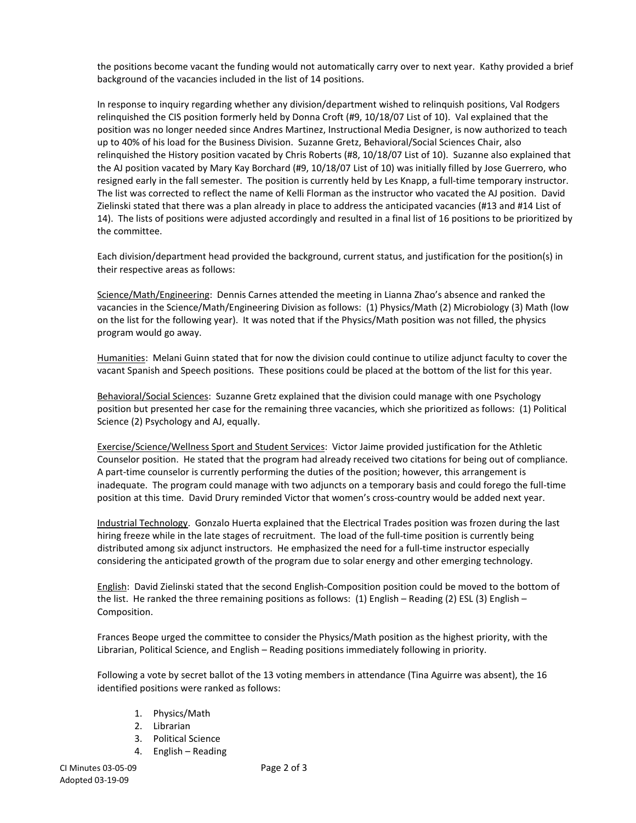the positions become vacant the funding would not automatically carry over to next year. Kathy provided a brief background of the vacancies included in the list of 14 positions.

In response to inquiry regarding whether any division/department wished to relinquish positions, Val Rodgers relinquished the CIS position formerly held by Donna Croft (#9, 10/18/07 List of 10). Val explained that the position was no longer needed since Andres Martinez, Instructional Media Designer, is now authorized to teach up to 40% of his load for the Business Division. Suzanne Gretz, Behavioral/Social Sciences Chair, also relinquished the History position vacated by Chris Roberts (#8, 10/18/07 List of 10). Suzanne also explained that the AJ position vacated by Mary Kay Borchard (#9, 10/18/07 List of 10) was initially filled by Jose Guerrero, who resigned early in the fall semester. The position is currently held by Les Knapp, a full-time temporary instructor. The list was corrected to reflect the name of Kelli Florman as the instructor who vacated the AJ position. David Zielinski stated that there was a plan already in place to address the anticipated vacancies (#13 and #14 List of 14). The lists of positions were adjusted accordingly and resulted in a final list of 16 positions to be prioritized by the committee.

Each division/department head provided the background, current status, and justification for the position(s) in their respective areas as follows:

Science/Math/Engineering: Dennis Carnes attended the meeting in Lianna Zhao's absence and ranked the vacancies in the Science/Math/Engineering Division as follows: (1) Physics/Math (2) Microbiology (3) Math (low on the list for the following year). It was noted that if the Physics/Math position was not filled, the physics program would go away.

Humanities: Melani Guinn stated that for now the division could continue to utilize adjunct faculty to cover the vacant Spanish and Speech positions. These positions could be placed at the bottom of the list for this year.

Behavioral/Social Sciences: Suzanne Gretz explained that the division could manage with one Psychology position but presented her case for the remaining three vacancies, which she prioritized as follows: (1) Political Science (2) Psychology and AJ, equally.

Exercise/Science/Wellness Sport and Student Services: Victor Jaime provided justification for the Athletic Counselor position. He stated that the program had already received two citations for being out of compliance. A part-time counselor is currently performing the duties of the position; however, this arrangement is inadequate. The program could manage with two adjuncts on a temporary basis and could forego the full-time position at this time. David Drury reminded Victor that women's cross-country would be added next year.

Industrial Technology. Gonzalo Huerta explained that the Electrical Trades position was frozen during the last hiring freeze while in the late stages of recruitment. The load of the full-time position is currently being distributed among six adjunct instructors. He emphasized the need for a full-time instructor especially considering the anticipated growth of the program due to solar energy and other emerging technology.

English: David Zielinski stated that the second English-Composition position could be moved to the bottom of the list. He ranked the three remaining positions as follows: (1) English – Reading (2) ESL (3) English – Composition.

Frances Beope urged the committee to consider the Physics/Math position as the highest priority, with the Librarian, Political Science, and English – Reading positions immediately following in priority.

Following a vote by secret ballot of the 13 voting members in attendance (Tina Aguirre was absent), the 16 identified positions were ranked as follows:

- 1. Physics/Math
- 2. Librarian
- 3. Political Science
- 4. English Reading